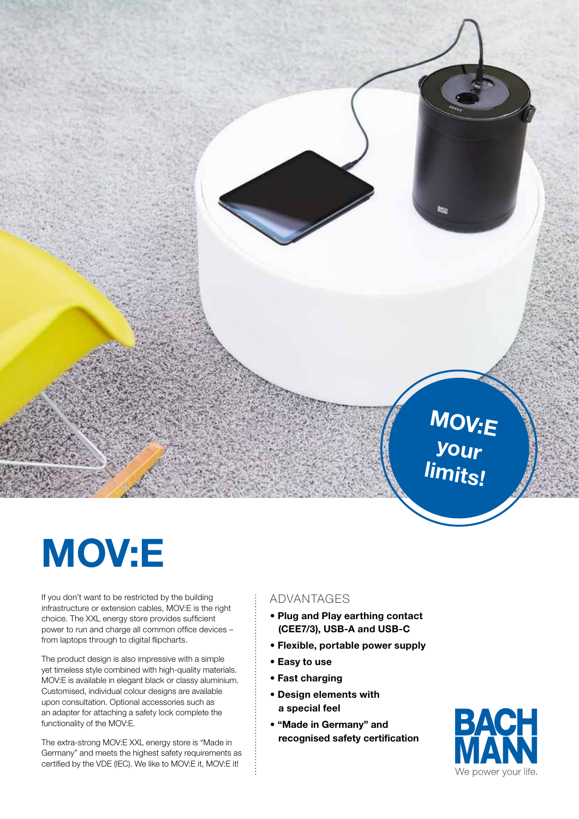

## MOV:E

If you don't want to be restricted by the building infrastructure or extension cables, MOV:E is the right choice. The XXL energy store provides sufficient power to run and charge all common office devices – from laptops through to digital flipcharts.

The product design is also impressive with a simple yet timeless style combined with high-quality materials. MOV:E is available in elegant black or classy aluminium. Customised, individual colour designs are available upon consultation. Optional accessories such as an adapter for attaching a safety lock complete the functionality of the MOV:E.

The extra-strong MOV:E XXL energy store is "Made in Germany" and meets the highest safety requirements as certified by the VDE (IEC). We like to MOV:E it, MOV:E it!

## ADVANTAGES

- Plug and Play earthing contact (CEE7/3), USB-A and USB-C
- Flexible, portable power supply
- Easy to use
- Fast charging
- Design elements with a special feel
- "Made in Germany" and recognised safety certification